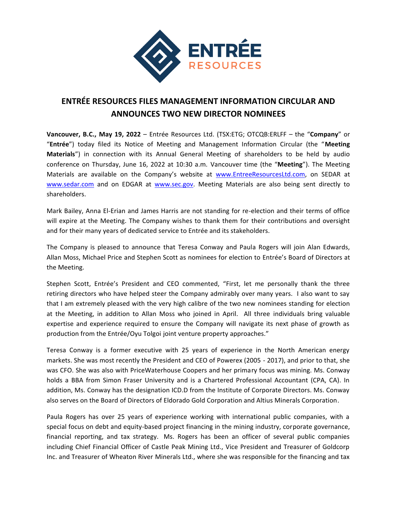

## **ENTRÉE RESOURCES FILES MANAGEMENT INFORMATION CIRCULAR AND ANNOUNCES TWO NEW DIRECTOR NOMINEES**

**Vancouver, B.C., May 19, 2022** – Entrée Resources Ltd. (TSX:ETG; OTCQB:ERLFF – the "**Company**" or "**Entrée**") today filed its Notice of Meeting and Management Information Circular (the "**Meeting Materials**") in connection with its Annual General Meeting of shareholders to be held by audio conference on Thursday, June 16, 2022 at 10:30 a.m. Vancouver time (the "**Meeting**"). The Meeting Materials are available on the Company's website at [www.EntreeResourcesLtd.com,](http://www.entreeresourcesltd.com/) on SEDAR at [www.sedar.com](http://www.sedar.com/) and on EDGAR at [www.sec.gov.](http://www.sec.gov/) Meeting Materials are also being sent directly to shareholders.

Mark Bailey, Anna El-Erian and James Harris are not standing for re-election and their terms of office will expire at the Meeting. The Company wishes to thank them for their contributions and oversight and for their many years of dedicated service to Entrée and its stakeholders.

The Company is pleased to announce that Teresa Conway and Paula Rogers will join Alan Edwards, Allan Moss, Michael Price and Stephen Scott as nominees for election to Entrée's Board of Directors at the Meeting.

Stephen Scott, Entrée's President and CEO commented, "First, let me personally thank the three retiring directors who have helped steer the Company admirably over many years. I also want to say that I am extremely pleased with the very high calibre of the two new nominees standing for election at the Meeting, in addition to Allan Moss who joined in April. All three individuals bring valuable expertise and experience required to ensure the Company will navigate its next phase of growth as production from the Entrée/Oyu Tolgoi joint venture property approaches."

Teresa Conway is a former executive with 25 years of experience in the North American energy markets. She was most recently the President and CEO of Powerex (2005 - 2017), and prior to that, she was CFO. She was also with PriceWaterhouse Coopers and her primary focus was mining. Ms. Conway holds a BBA from Simon Fraser University and is a Chartered Professional Accountant (CPA, CA). In addition, Ms. Conway has the designation ICD.D from the Institute of Corporate Directors. Ms. Conway also serves on the Board of Directors of Eldorado Gold Corporation and Altius Minerals Corporation.

Paula Rogers has over 25 years of experience working with international public companies, with a special focus on debt and equity-based project financing in the mining industry, corporate governance, financial reporting, and tax strategy. Ms. Rogers has been an officer of several public companies including Chief Financial Officer of Castle Peak Mining Ltd., Vice President and Treasurer of Goldcorp Inc. and Treasurer of Wheaton River Minerals Ltd., where she was responsible for the financing and tax